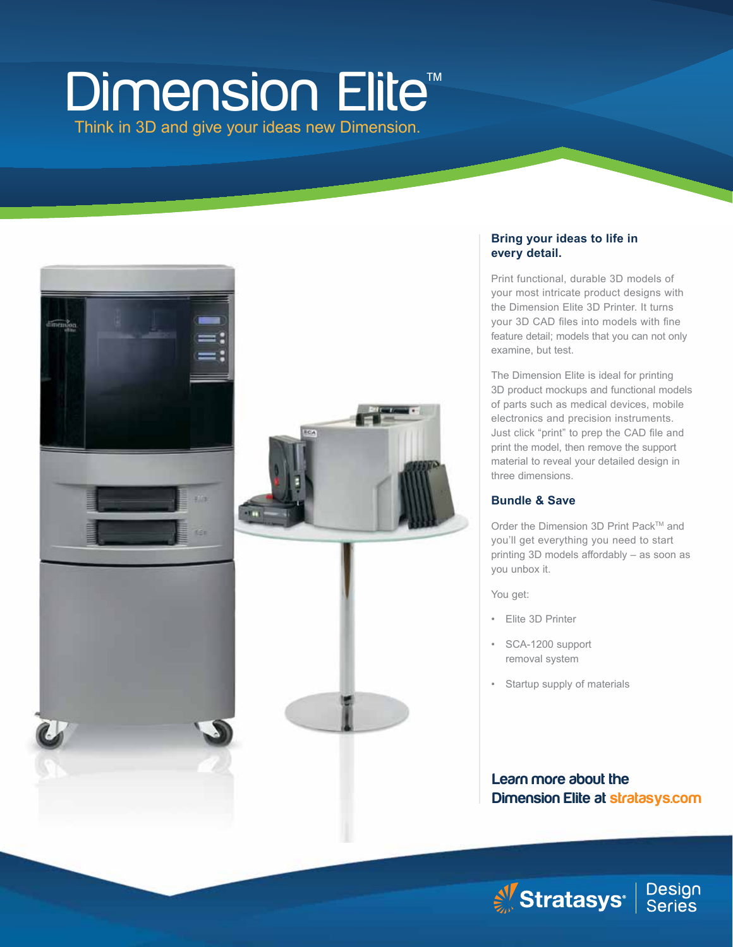# **Dimension Elite™**

Think in 3D and give your ideas new Dimension.



#### **Bring your ideas to life in every detail.**

Print functional, durable 3D models of your most intricate product designs with the Dimension Elite 3D Printer. It turns your 3D CAD files into models with fine feature detail; models that you can not only examine, but test.

The Dimension Elite is ideal for printing 3D product mockups and functional models of parts such as medical devices, mobile electronics and precision instruments. Just click "print" to prep the CAD file and print the model, then remove the support material to reveal your detailed design in three dimensions.

#### **Bundle & Save**

Order the Dimension 3D Print Pack™ and you'll get everything you need to start printing 3D models affordably – as soon as you unbox it.

You get:

- Elite 3D Printer
- SCA-1200 support removal system
- Startup supply of materials

### Learn more about the Dimension Elite at stratasys.com